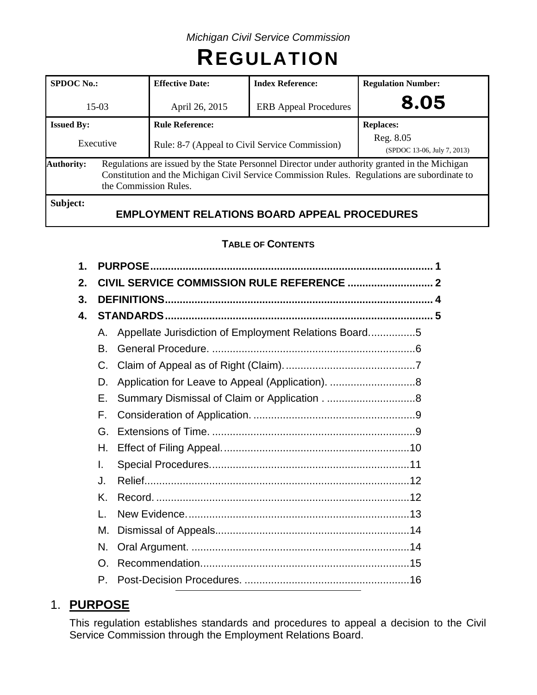# **REGULATION**

| <b>SPDOC No.:</b> |                       | <b>Effective Date:</b>                                                                                                                                                                         | <b>Index Reference:</b>      | <b>Regulation Number:</b>                |  |
|-------------------|-----------------------|------------------------------------------------------------------------------------------------------------------------------------------------------------------------------------------------|------------------------------|------------------------------------------|--|
| $15-03$           |                       | April 26, 2015                                                                                                                                                                                 | <b>ERB</b> Appeal Procedures | 8.05                                     |  |
| <b>Issued By:</b> |                       | <b>Rule Reference:</b>                                                                                                                                                                         |                              | <b>Replaces:</b>                         |  |
| Executive         |                       | Rule: 8-7 (Appeal to Civil Service Commission)                                                                                                                                                 |                              | Reg. 8.05<br>(SPDOC 13-06, July 7, 2013) |  |
| <b>Authority:</b> | the Commission Rules. | Regulations are issued by the State Personnel Director under authority granted in the Michigan<br>Constitution and the Michigan Civil Service Commission Rules. Regulations are subordinate to |                              |                                          |  |
| Subject:          |                       |                                                                                                                                                                                                |                              |                                          |  |

# **EMPLOYMENT RELATIONS BOARD APPEAL PROCEDURES**

# **TABLE OF CONTENTS**

| 1. |              |                                                       |  |  |  |  |  |  |  |
|----|--------------|-------------------------------------------------------|--|--|--|--|--|--|--|
| 2. |              |                                                       |  |  |  |  |  |  |  |
| 3. |              |                                                       |  |  |  |  |  |  |  |
| 4. |              |                                                       |  |  |  |  |  |  |  |
|    | А.           | Appellate Jurisdiction of Employment Relations Board5 |  |  |  |  |  |  |  |
|    | В.           |                                                       |  |  |  |  |  |  |  |
|    | C.           |                                                       |  |  |  |  |  |  |  |
|    | D.           |                                                       |  |  |  |  |  |  |  |
|    | Е.           |                                                       |  |  |  |  |  |  |  |
|    | F.           |                                                       |  |  |  |  |  |  |  |
|    | G.           |                                                       |  |  |  |  |  |  |  |
|    | Η.           |                                                       |  |  |  |  |  |  |  |
|    | I.           |                                                       |  |  |  |  |  |  |  |
|    | J.           |                                                       |  |  |  |  |  |  |  |
|    | K.           |                                                       |  |  |  |  |  |  |  |
|    | $\mathbf{L}$ |                                                       |  |  |  |  |  |  |  |
|    | М.           |                                                       |  |  |  |  |  |  |  |
|    | N.           |                                                       |  |  |  |  |  |  |  |
|    | O.           |                                                       |  |  |  |  |  |  |  |
|    | $P_{\cdot}$  |                                                       |  |  |  |  |  |  |  |

# 1. **PURPOSE**

This regulation establishes standards and procedures to appeal a decision to the Civil Service Commission through the Employment Relations Board.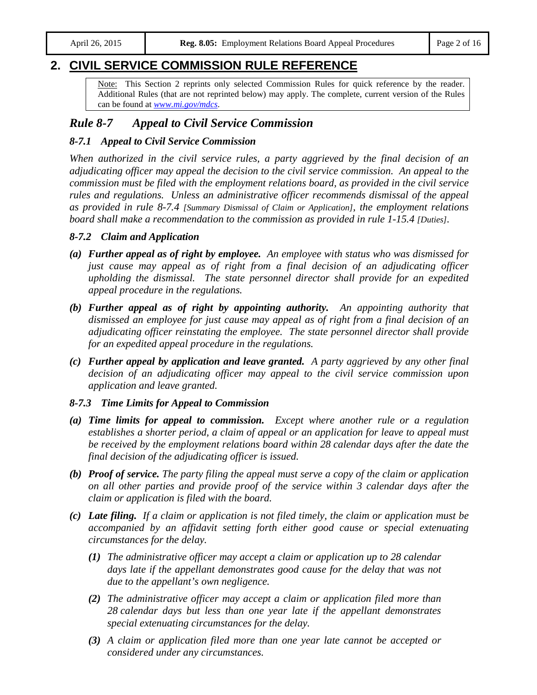# **2. CIVIL SERVICE COMMISSION RULE REFERENCE**

Note: This Section 2 reprints only selected Commission Rules for quick reference by the reader. Additional Rules (that are not reprinted below) may apply. The complete, current version of the Rules can be found at *[www.mi.gov/mdcs](http://www.mi.gov/mdcs)*.

# *Rule 8-7 Appeal to Civil Service Commission*

## *8-7.1 Appeal to Civil Service Commission*

*When authorized in the civil service rules, a party aggrieved by the final decision of an adjudicating officer may appeal the decision to the civil service commission. An appeal to the commission must be filed with the employment relations board, as provided in the civil service rules and regulations. Unless an administrative officer recommends dismissal of the appeal as provided in rule 8-7.4 [Summary Dismissal of Claim or Application], the employment relations board shall make a recommendation to the commission as provided in rule 1-15.4 [Duties].*

## *8-7.2 Claim and Application*

- *(a) Further appeal as of right by employee. An employee with status who was dismissed for just cause may appeal as of right from a final decision of an adjudicating officer upholding the dismissal. The state personnel director shall provide for an expedited appeal procedure in the regulations.*
- *(b) Further appeal as of right by appointing authority. An appointing authority that dismissed an employee for just cause may appeal as of right from a final decision of an adjudicating officer reinstating the employee. The state personnel director shall provide for an expedited appeal procedure in the regulations.*
- *(c) Further appeal by application and leave granted. A party aggrieved by any other final decision of an adjudicating officer may appeal to the civil service commission upon application and leave granted.*

## *8-7.3 Time Limits for Appeal to Commission*

- *(a) Time limits for appeal to commission. Except where another rule or a regulation establishes a shorter period, a claim of appeal or an application for leave to appeal must be received by the employment relations board within 28 calendar days after the date the final decision of the adjudicating officer is issued.*
- *(b) Proof of service. The party filing the appeal must serve a copy of the claim or application on all other parties and provide proof of the service within 3 calendar days after the claim or application is filed with the board.*
- *(c) Late filing. If a claim or application is not filed timely, the claim or application must be accompanied by an affidavit setting forth either good cause or special extenuating circumstances for the delay.*
	- *(1) The administrative officer may accept a claim or application up to 28 calendar*  days late if the appellant demonstrates good cause for the delay that was not *due to the appellant's own negligence.*
	- *(2) The administrative officer may accept a claim or application filed more than 28 calendar days but less than one year late if the appellant demonstrates special extenuating circumstances for the delay.*
	- *(3) A claim or application filed more than one year late cannot be accepted or considered under any circumstances.*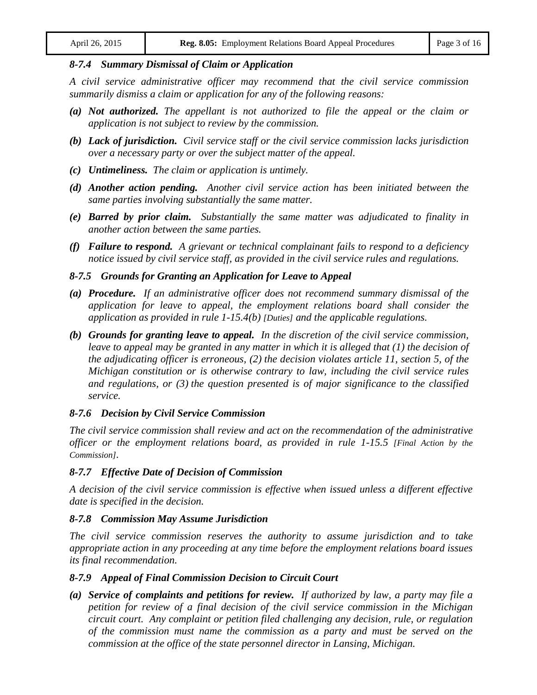#### *8-7.4 Summary Dismissal of Claim or Application*

*A civil service administrative officer may recommend that the civil service commission summarily dismiss a claim or application for any of the following reasons:*

- *(a) Not authorized. The appellant is not authorized to file the appeal or the claim or application is not subject to review by the commission.*
- *(b) Lack of jurisdiction. Civil service staff or the civil service commission lacks jurisdiction over a necessary party or over the subject matter of the appeal.*
- *(c) Untimeliness. The claim or application is untimely.*
- *(d) Another action pending. Another civil service action has been initiated between the same parties involving substantially the same matter.*
- *(e) Barred by prior claim. Substantially the same matter was adjudicated to finality in another action between the same parties.*
- *(f) Failure to respond. A grievant or technical complainant fails to respond to a deficiency notice issued by civil service staff, as provided in the civil service rules and regulations.*

#### *8-7.5 Grounds for Granting an Application for Leave to Appeal*

- *(a) Procedure. If an administrative officer does not recommend summary dismissal of the application for leave to appeal, the employment relations board shall consider the application as provided in rule 1-15.4(b) [Duties] and the applicable regulations.*
- *(b) Grounds for granting leave to appeal. In the discretion of the civil service commission, leave to appeal may be granted in any matter in which it is alleged that (1) the decision of the adjudicating officer is erroneous, (2) the decision violates article 11, section 5, of the Michigan constitution or is otherwise contrary to law, including the civil service rules and regulations, or (3) the question presented is of major significance to the classified service.*

## *8-7.6 Decision by Civil Service Commission*

*The civil service commission shall review and act on the recommendation of the administrative officer or the employment relations board, as provided in rule 1-15.5 [Final Action by the Commission].*

## *8-7.7 Effective Date of Decision of Commission*

*A decision of the civil service commission is effective when issued unless a different effective date is specified in the decision.*

## *8-7.8 Commission May Assume Jurisdiction*

*The civil service commission reserves the authority to assume jurisdiction and to take appropriate action in any proceeding at any time before the employment relations board issues its final recommendation.*

## *8-7.9 Appeal of Final Commission Decision to Circuit Court*

*(a) Service of complaints and petitions for review. If authorized by law, a party may file a petition for review of a final decision of the civil service commission in the Michigan circuit court. Any complaint or petition filed challenging any decision, rule, or regulation of the commission must name the commission as a party and must be served on the commission at the office of the state personnel director in Lansing, Michigan.*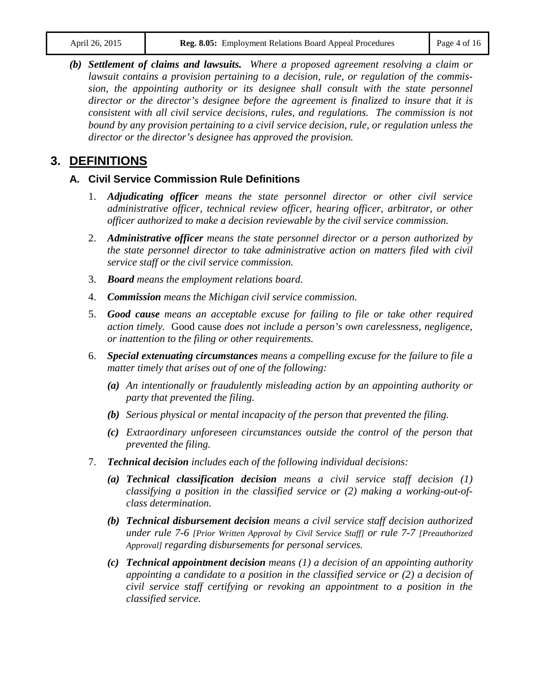*(b) Settlement of claims and lawsuits. Where a proposed agreement resolving a claim or lawsuit contains a provision pertaining to a decision, rule, or regulation of the commission, the appointing authority or its designee shall consult with the state personnel director or the director's designee before the agreement is finalized to insure that it is consistent with all civil service decisions, rules, and regulations. The commission is not bound by any provision pertaining to a civil service decision, rule, or regulation unless the director or the director's designee has approved the provision.*

# **3. DEFINITIONS**

# **A. Civil Service Commission Rule Definitions**

- 1. *Adjudicating officer means the state personnel director or other civil service administrative officer, technical review officer, hearing officer, arbitrator, or other officer authorized to make a decision reviewable by the civil service commission.*
- 2. *Administrative officer means the state personnel director or a person authorized by the state personnel director to take administrative action on matters filed with civil service staff or the civil service commission.*
- 3. *Board means the employment relations board.*
- 4. *Commission means the Michigan civil service commission.*
- 5. *Good cause means an acceptable excuse for failing to file or take other required action timely.* Good cause *does not include a person's own carelessness, negligence, or inattention to the filing or other requirements.*
- 6. *Special extenuating circumstances means a compelling excuse for the failure to file a matter timely that arises out of one of the following:*
	- *(a) An intentionally or fraudulently misleading action by an appointing authority or party that prevented the filing.*
	- *(b) Serious physical or mental incapacity of the person that prevented the filing.*
	- *(c) Extraordinary unforeseen circumstances outside the control of the person that prevented the filing.*
- 7. *Technical decision includes each of the following individual decisions:*
	- *(a) Technical classification decision means a civil service staff decision (1) classifying a position in the classified service or (2) making a working-out-ofclass determination.*
	- *(b) Technical disbursement decision means a civil service staff decision authorized under rule 7-6 [Prior Written Approval by Civil Service Staff] or rule 7-7 [Preauthorized Approval] regarding disbursements for personal services.*
	- *(c) Technical appointment decision means (1) a decision of an appointing authority appointing a candidate to a position in the classified service or (2) a decision of civil service staff certifying or revoking an appointment to a position in the classified service.*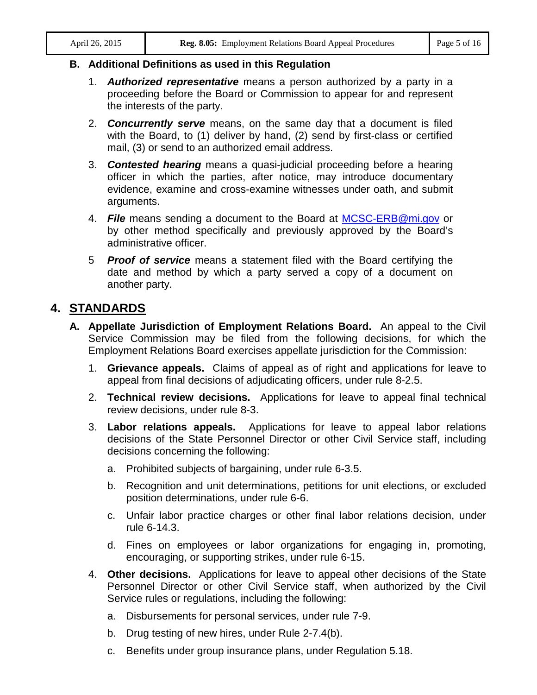## **B. Additional Definitions as used in this Regulation**

- 1. *Authorized representative* means a person authorized by a party in a proceeding before the Board or Commission to appear for and represent the interests of the party.
- 2. *Concurrently serve* means, on the same day that a document is filed with the Board, to (1) deliver by hand, (2) send by first-class or certified mail, (3) or send to an authorized email address.
- 3. *Contested hearing* means a quasi-judicial proceeding before a hearing officer in which the parties, after notice, may introduce documentary evidence, examine and cross-examine witnesses under oath, and submit arguments.
- 4. *File* means sending a document to the Board at [MCSC-ERB@mi.gov](mailto:MCSC-ERB@mi.gov) or by other method specifically and previously approved by the Board's administrative officer.
- 5 *Proof of service* means a statement filed with the Board certifying the date and method by which a party served a copy of a document on another party.

# **4. STANDARDS**

- **A. Appellate Jurisdiction of Employment Relations Board.** An appeal to the Civil Service Commission may be filed from the following decisions, for which the Employment Relations Board exercises appellate jurisdiction for the Commission:
	- 1. **Grievance appeals.** Claims of appeal as of right and applications for leave to appeal from final decisions of adjudicating officers, under rule 8-2.5.
	- 2. **Technical review decisions.** Applications for leave to appeal final technical review decisions, under rule 8-3.
	- 3. **Labor relations appeals.** Applications for leave to appeal labor relations decisions of the State Personnel Director or other Civil Service staff, including decisions concerning the following:
		- a. Prohibited subjects of bargaining, under rule 6-3.5.
		- b. Recognition and unit determinations, petitions for unit elections, or excluded position determinations, under rule 6-6.
		- c. Unfair labor practice charges or other final labor relations decision, under rule 6-14.3.
		- d. Fines on employees or labor organizations for engaging in, promoting, encouraging, or supporting strikes, under rule 6-15.
	- 4. **Other decisions.** Applications for leave to appeal other decisions of the State Personnel Director or other Civil Service staff, when authorized by the Civil Service rules or regulations, including the following:
		- a. Disbursements for personal services, under rule 7-9.
		- b. Drug testing of new hires, under Rule 2-7.4(b).
		- c. Benefits under group insurance plans, under Regulation 5.18.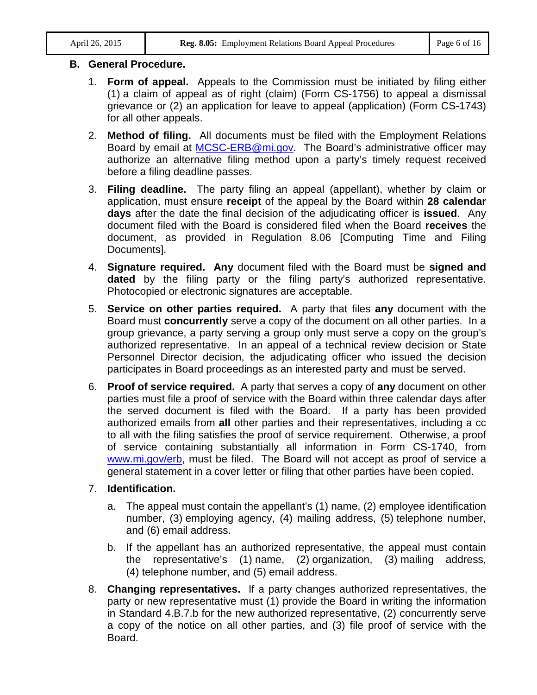# **B. General Procedure.**

- 1. **Form of appeal.** Appeals to the Commission must be initiated by filing either (1) a claim of appeal as of right (claim) (Form CS-1756) to appeal a dismissal grievance or (2) an application for leave to appeal (application) (Form CS-1743) for all other appeals.
- 2. **Method of filing.** All documents must be filed with the Employment Relations Board by email at **MCSC-ERB@mi.gov**. The Board's administrative officer may authorize an alternative filing method upon a party's timely request received before a filing deadline passes.
- 3. **Filing deadline.** The party filing an appeal (appellant), whether by claim or application, must ensure **receipt** of the appeal by the Board within **28 calendar days** after the date the final decision of the adjudicating officer is **issued**. Any document filed with the Board is considered filed when the Board **receives** the document, as provided in Regulation 8.06 [Computing Time and Filing Documents].
- 4. **Signature required. Any** document filed with the Board must be **signed and dated** by the filing party or the filing party's authorized representative. Photocopied or electronic signatures are acceptable.
- 5. **Service on other parties required.** A party that files **any** document with the Board must **concurrently** serve a copy of the document on all other parties. In a group grievance, a party serving a group only must serve a copy on the group's authorized representative. In an appeal of a technical review decision or State Personnel Director decision, the adjudicating officer who issued the decision participates in Board proceedings as an interested party and must be served.
- 6. **Proof of service required.** A party that serves a copy of **any** document on other parties must file a proof of service with the Board within three calendar days after the served document is filed with the Board. If a party has been provided authorized emails from **all** other parties and their representatives, including a cc to all with the filing satisfies the proof of service requirement. Otherwise, a proof of service containing substantially all information in Form CS-1740, from [www.mi.gov/erb,](http://www.mi.gov/erb) must be filed. The Board will not accept as proof of service a general statement in a cover letter or filing that other parties have been copied.

# 7. **Identification.**

- a. The appeal must contain the appellant's (1) name, (2) employee identification number, (3) employing agency, (4) mailing address, (5) telephone number, and (6) email address.
- b. If the appellant has an authorized representative, the appeal must contain the representative's (1) name, (2) organization, (3) mailing address, (4) telephone number, and (5) email address.
- 8. **Changing representatives.** If a party changes authorized representatives, the party or new representative must (1) provide the Board in writing the information in Standard 4.B.7.b for the new authorized representative, (2) concurrently serve a copy of the notice on all other parties, and (3) file proof of service with the Board.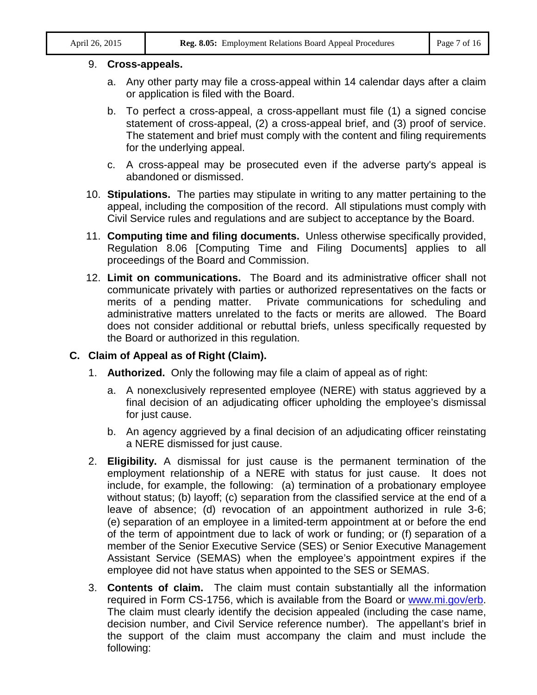## 9. **Cross-appeals.**

- a. Any other party may file a cross-appeal within 14 calendar days after a claim or application is filed with the Board.
- b. To perfect a cross-appeal, a cross-appellant must file (1) a signed concise statement of cross-appeal, (2) a cross-appeal brief, and (3) proof of service. The statement and brief must comply with the content and filing requirements for the underlying appeal.
- c. A cross-appeal may be prosecuted even if the adverse party's appeal is abandoned or dismissed.
- 10. **Stipulations.** The parties may stipulate in writing to any matter pertaining to the appeal, including the composition of the record. All stipulations must comply with Civil Service rules and regulations and are subject to acceptance by the Board.
- 11. **Computing time and filing documents.** Unless otherwise specifically provided, Regulation 8.06 [Computing Time and Filing Documents] applies to all proceedings of the Board and Commission.
- 12. **Limit on communications.** The Board and its administrative officer shall not communicate privately with parties or authorized representatives on the facts or merits of a pending matter. Private communications for scheduling and administrative matters unrelated to the facts or merits are allowed. The Board does not consider additional or rebuttal briefs, unless specifically requested by the Board or authorized in this regulation.

# **C. Claim of Appeal as of Right (Claim).**

- 1. **Authorized.** Only the following may file a claim of appeal as of right:
	- a. A nonexclusively represented employee (NERE) with status aggrieved by a final decision of an adjudicating officer upholding the employee's dismissal for just cause.
	- b. An agency aggrieved by a final decision of an adjudicating officer reinstating a NERE dismissed for just cause.
- 2. **Eligibility.** A dismissal for just cause is the permanent termination of the employment relationship of a NERE with status for just cause. It does not include, for example, the following: (a) termination of a probationary employee without status; (b) layoff; (c) separation from the classified service at the end of a leave of absence; (d) revocation of an appointment authorized in rule 3-6; (e) separation of an employee in a limited-term appointment at or before the end of the term of appointment due to lack of work or funding; or (f) separation of a member of the Senior Executive Service (SES) or Senior Executive Management Assistant Service (SEMAS) when the employee's appointment expires if the employee did not have status when appointed to the SES or SEMAS.
- 3. **Contents of claim.** The claim must contain substantially all the information required in Form CS-1756, which is available from the Board or [www.mi.gov/erb.](http://www.mi.gov/erb) The claim must clearly identify the decision appealed (including the case name, decision number, and Civil Service reference number). The appellant's brief in the support of the claim must accompany the claim and must include the following: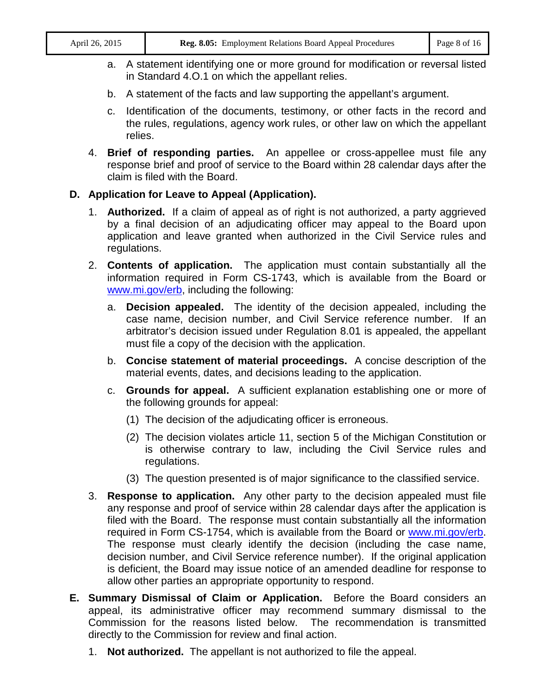- a. A statement identifying one or more ground for modification or reversal listed in Standard 4.O.1 on which the appellant relies.
- b. A statement of the facts and law supporting the appellant's argument.
- c. Identification of the documents, testimony, or other facts in the record and the rules, regulations, agency work rules, or other law on which the appellant relies.
- 4. **Brief of responding parties.** An appellee or cross-appellee must file any response brief and proof of service to the Board within 28 calendar days after the claim is filed with the Board.

# **D. Application for Leave to Appeal (Application).**

- 1. **Authorized.** If a claim of appeal as of right is not authorized, a party aggrieved by a final decision of an adjudicating officer may appeal to the Board upon application and leave granted when authorized in the Civil Service rules and regulations.
- 2. **Contents of application.** The application must contain substantially all the information required in Form CS-1743, which is available from the Board or [www.mi.gov/erb,](http://www.mi.gov/erb) including the following:
	- a. **Decision appealed.** The identity of the decision appealed, including the case name, decision number, and Civil Service reference number. If an arbitrator's decision issued under Regulation 8.01 is appealed, the appellant must file a copy of the decision with the application.
	- b. **Concise statement of material proceedings.** A concise description of the material events, dates, and decisions leading to the application.
	- c. **Grounds for appeal.** A sufficient explanation establishing one or more of the following grounds for appeal:
		- (1) The decision of the adjudicating officer is erroneous.
		- (2) The decision violates article 11, section 5 of the Michigan Constitution or is otherwise contrary to law, including the Civil Service rules and regulations.
		- (3) The question presented is of major significance to the classified service.
- 3. **Response to application.** Any other party to the decision appealed must file any response and proof of service within 28 calendar days after the application is filed with the Board. The response must contain substantially all the information required in Form CS-1754, which is available from the Board or [www.mi.gov/erb.](http://www.mi.gov/erb) The response must clearly identify the decision (including the case name, decision number, and Civil Service reference number). If the original application is deficient, the Board may issue notice of an amended deadline for response to allow other parties an appropriate opportunity to respond.
- **E. Summary Dismissal of Claim or Application.** Before the Board considers an appeal, its administrative officer may recommend summary dismissal to the Commission for the reasons listed below. The recommendation is transmitted directly to the Commission for review and final action.
	- 1. **Not authorized.** The appellant is not authorized to file the appeal.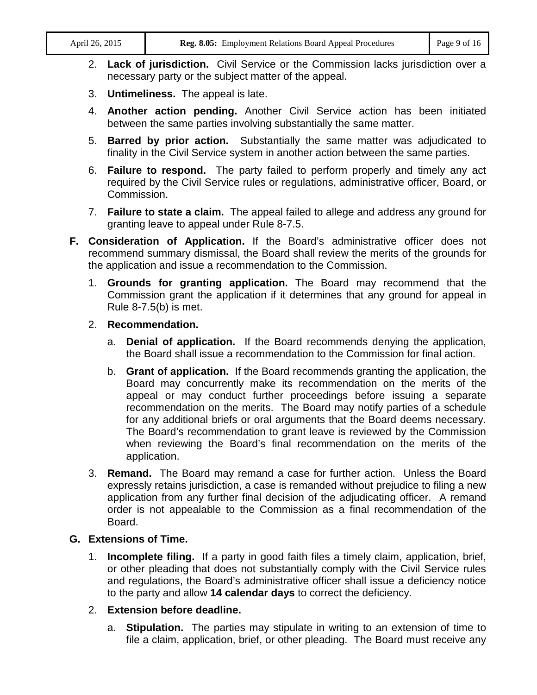- 2. **Lack of jurisdiction.** Civil Service or the Commission lacks jurisdiction over a necessary party or the subject matter of the appeal.
- 3. **Untimeliness.** The appeal is late.
- 4. **Another action pending.** Another Civil Service action has been initiated between the same parties involving substantially the same matter.
- 5. **Barred by prior action.** Substantially the same matter was adjudicated to finality in the Civil Service system in another action between the same parties.
- 6. **Failure to respond.** The party failed to perform properly and timely any act required by the Civil Service rules or regulations, administrative officer, Board, or Commission.
- 7. **Failure to state a claim.** The appeal failed to allege and address any ground for granting leave to appeal under Rule 8-7.5.
- **F. Consideration of Application.** If the Board's administrative officer does not recommend summary dismissal, the Board shall review the merits of the grounds for the application and issue a recommendation to the Commission.
	- 1. **Grounds for granting application.** The Board may recommend that the Commission grant the application if it determines that any ground for appeal in Rule 8-7.5(b) is met.
	- 2. **Recommendation.**
		- a. **Denial of application.** If the Board recommends denying the application, the Board shall issue a recommendation to the Commission for final action.
		- b. **Grant of application.** If the Board recommends granting the application, the Board may concurrently make its recommendation on the merits of the appeal or may conduct further proceedings before issuing a separate recommendation on the merits. The Board may notify parties of a schedule for any additional briefs or oral arguments that the Board deems necessary. The Board's recommendation to grant leave is reviewed by the Commission when reviewing the Board's final recommendation on the merits of the application.
	- 3. **Remand.** The Board may remand a case for further action. Unless the Board expressly retains jurisdiction, a case is remanded without prejudice to filing a new application from any further final decision of the adjudicating officer. A remand order is not appealable to the Commission as a final recommendation of the Board.

## **G. Extensions of Time.**

1. **Incomplete filing.** If a party in good faith files a timely claim, application, brief, or other pleading that does not substantially comply with the Civil Service rules and regulations, the Board's administrative officer shall issue a deficiency notice to the party and allow **14 calendar days** to correct the deficiency.

## 2. **Extension before deadline.**

a. **Stipulation.** The parties may stipulate in writing to an extension of time to file a claim, application, brief, or other pleading. The Board must receive any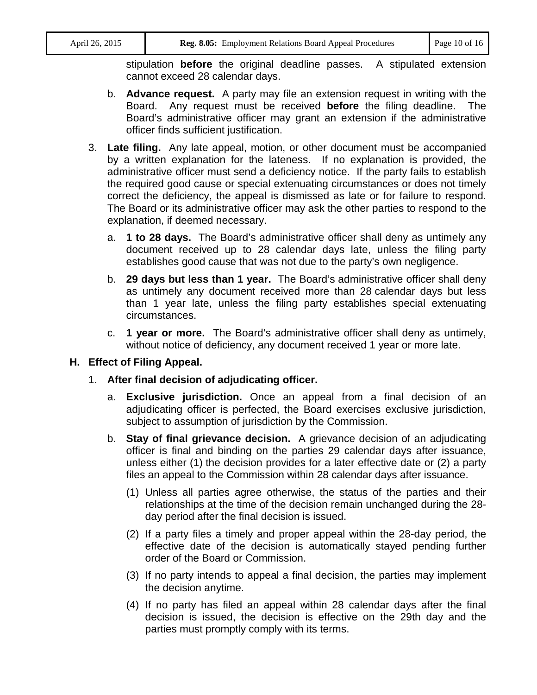stipulation **before** the original deadline passes. A stipulated extension cannot exceed 28 calendar days.

- b. **Advance request.** A party may file an extension request in writing with the Board. Any request must be received **before** the filing deadline. The Board's administrative officer may grant an extension if the administrative officer finds sufficient justification.
- 3. **Late filing.** Any late appeal, motion, or other document must be accompanied by a written explanation for the lateness. If no explanation is provided, the administrative officer must send a deficiency notice. If the party fails to establish the required good cause or special extenuating circumstances or does not timely correct the deficiency, the appeal is dismissed as late or for failure to respond. The Board or its administrative officer may ask the other parties to respond to the explanation, if deemed necessary.
	- a. **1 to 28 days.** The Board's administrative officer shall deny as untimely any document received up to 28 calendar days late, unless the filing party establishes good cause that was not due to the party's own negligence.
	- b. **29 days but less than 1 year.** The Board's administrative officer shall deny as untimely any document received more than 28 calendar days but less than 1 year late, unless the filing party establishes special extenuating circumstances.
	- c. **1 year or more.** The Board's administrative officer shall deny as untimely, without notice of deficiency, any document received 1 year or more late.

# **H. Effect of Filing Appeal.**

- 1. **After final decision of adjudicating officer.**
	- a. **Exclusive jurisdiction.** Once an appeal from a final decision of an adjudicating officer is perfected, the Board exercises exclusive jurisdiction, subject to assumption of jurisdiction by the Commission.
	- b. **Stay of final grievance decision.** A grievance decision of an adjudicating officer is final and binding on the parties 29 calendar days after issuance, unless either (1) the decision provides for a later effective date or (2) a party files an appeal to the Commission within 28 calendar days after issuance.
		- (1) Unless all parties agree otherwise, the status of the parties and their relationships at the time of the decision remain unchanged during the 28 day period after the final decision is issued.
		- (2) If a party files a timely and proper appeal within the 28-day period, the effective date of the decision is automatically stayed pending further order of the Board or Commission.
		- (3) If no party intends to appeal a final decision, the parties may implement the decision anytime.
		- (4) If no party has filed an appeal within 28 calendar days after the final decision is issued, the decision is effective on the 29th day and the parties must promptly comply with its terms.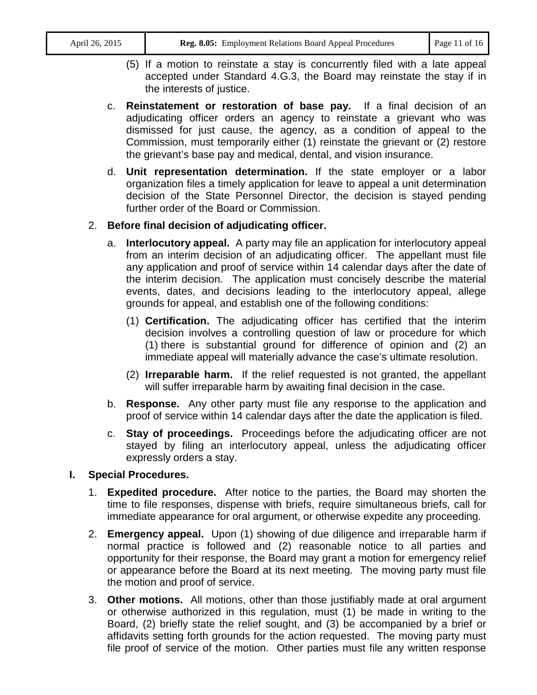- (5) If a motion to reinstate a stay is concurrently filed with a late appeal accepted under Standard 4.G.3, the Board may reinstate the stay if in the interests of justice.
- c. **Reinstatement or restoration of base pay.** If a final decision of an adjudicating officer orders an agency to reinstate a grievant who was dismissed for just cause, the agency, as a condition of appeal to the Commission, must temporarily either (1) reinstate the grievant or (2) restore the grievant's base pay and medical, dental, and vision insurance.
- d. **Unit representation determination.** If the state employer or a labor organization files a timely application for leave to appeal a unit determination decision of the State Personnel Director, the decision is stayed pending further order of the Board or Commission.

# 2. **Before final decision of adjudicating officer.**

- a. **Interlocutory appeal.** A party may file an application for interlocutory appeal from an interim decision of an adjudicating officer. The appellant must file any application and proof of service within 14 calendar days after the date of the interim decision. The application must concisely describe the material events, dates, and decisions leading to the interlocutory appeal, allege grounds for appeal, and establish one of the following conditions:
	- (1) **Certification.** The adjudicating officer has certified that the interim decision involves a controlling question of law or procedure for which (1) there is substantial ground for difference of opinion and (2) an immediate appeal will materially advance the case's ultimate resolution.
	- (2) **Irreparable harm.** If the relief requested is not granted, the appellant will suffer irreparable harm by awaiting final decision in the case.
- b. **Response.** Any other party must file any response to the application and proof of service within 14 calendar days after the date the application is filed.
- c. **Stay of proceedings.** Proceedings before the adjudicating officer are not stayed by filing an interlocutory appeal, unless the adjudicating officer expressly orders a stay.

# **I. Special Procedures.**

- 1. **Expedited procedure.** After notice to the parties, the Board may shorten the time to file responses, dispense with briefs, require simultaneous briefs, call for immediate appearance for oral argument, or otherwise expedite any proceeding.
- 2. **Emergency appeal.** Upon (1) showing of due diligence and irreparable harm if normal practice is followed and (2) reasonable notice to all parties and opportunity for their response, the Board may grant a motion for emergency relief or appearance before the Board at its next meeting. The moving party must file the motion and proof of service.
- 3. **Other motions.** All motions, other than those justifiably made at oral argument or otherwise authorized in this regulation, must (1) be made in writing to the Board, (2) briefly state the relief sought, and (3) be accompanied by a brief or affidavits setting forth grounds for the action requested. The moving party must file proof of service of the motion. Other parties must file any written response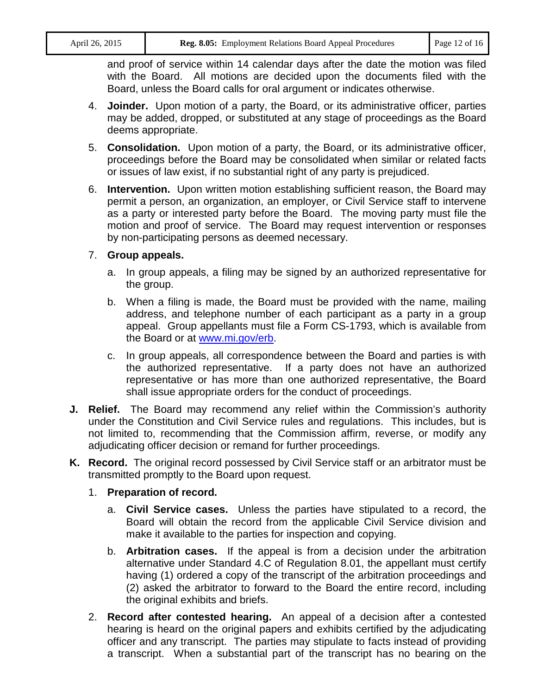and proof of service within 14 calendar days after the date the motion was filed with the Board. All motions are decided upon the documents filed with the Board, unless the Board calls for oral argument or indicates otherwise.

- 4. **Joinder.** Upon motion of a party, the Board, or its administrative officer, parties may be added, dropped, or substituted at any stage of proceedings as the Board deems appropriate.
- 5. **Consolidation.** Upon motion of a party, the Board, or its administrative officer, proceedings before the Board may be consolidated when similar or related facts or issues of law exist, if no substantial right of any party is prejudiced.
- 6. **Intervention.** Upon written motion establishing sufficient reason, the Board may permit a person, an organization, an employer, or Civil Service staff to intervene as a party or interested party before the Board. The moving party must file the motion and proof of service. The Board may request intervention or responses by non-participating persons as deemed necessary.
- 7. **Group appeals.**
	- a. In group appeals, a filing may be signed by an authorized representative for the group.
	- b. When a filing is made, the Board must be provided with the name, mailing address, and telephone number of each participant as a party in a group appeal. Group appellants must file a Form CS-1793, which is available from the Board or at [www.mi.gov/erb.](http://www.mi.gov/erb)
	- c. In group appeals, all correspondence between the Board and parties is with the authorized representative. If a party does not have an authorized representative or has more than one authorized representative, the Board shall issue appropriate orders for the conduct of proceedings.
- **J. Relief.** The Board may recommend any relief within the Commission's authority under the Constitution and Civil Service rules and regulations. This includes, but is not limited to, recommending that the Commission affirm, reverse, or modify any adjudicating officer decision or remand for further proceedings.
- **K. Record.** The original record possessed by Civil Service staff or an arbitrator must be transmitted promptly to the Board upon request.
	- 1. **Preparation of record.**
		- a. **Civil Service cases.** Unless the parties have stipulated to a record, the Board will obtain the record from the applicable Civil Service division and make it available to the parties for inspection and copying.
		- b. **Arbitration cases.** If the appeal is from a decision under the arbitration alternative under Standard 4.C of Regulation 8.01, the appellant must certify having (1) ordered a copy of the transcript of the arbitration proceedings and (2) asked the arbitrator to forward to the Board the entire record, including the original exhibits and briefs.
	- 2. **Record after contested hearing.** An appeal of a decision after a contested hearing is heard on the original papers and exhibits certified by the adjudicating officer and any transcript. The parties may stipulate to facts instead of providing a transcript. When a substantial part of the transcript has no bearing on the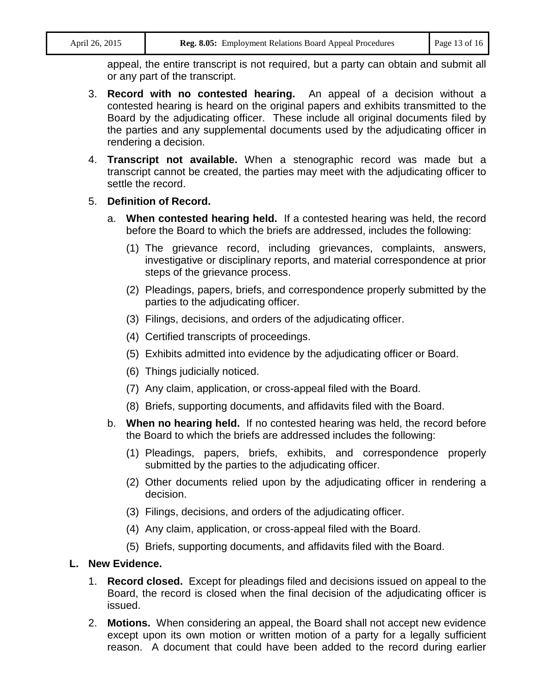appeal, the entire transcript is not required, but a party can obtain and submit all or any part of the transcript.

- 3. **Record with no contested hearing.** An appeal of a decision without a contested hearing is heard on the original papers and exhibits transmitted to the Board by the adjudicating officer. These include all original documents filed by the parties and any supplemental documents used by the adjudicating officer in rendering a decision.
- 4. **Transcript not available.** When a stenographic record was made but a transcript cannot be created, the parties may meet with the adjudicating officer to settle the record.

## 5. **Definition of Record.**

- a. **When contested hearing held.** If a contested hearing was held, the record before the Board to which the briefs are addressed, includes the following:
	- (1) The grievance record, including grievances, complaints, answers, investigative or disciplinary reports, and material correspondence at prior steps of the grievance process.
	- (2) Pleadings, papers, briefs, and correspondence properly submitted by the parties to the adjudicating officer.
	- (3) Filings, decisions, and orders of the adjudicating officer.
	- (4) Certified transcripts of proceedings.
	- (5) Exhibits admitted into evidence by the adjudicating officer or Board.
	- (6) Things judicially noticed.
	- (7) Any claim, application, or cross-appeal filed with the Board.
	- (8) Briefs, supporting documents, and affidavits filed with the Board.
- b. **When no hearing held.** If no contested hearing was held, the record before the Board to which the briefs are addressed includes the following:
	- (1) Pleadings, papers, briefs, exhibits, and correspondence properly submitted by the parties to the adjudicating officer.
	- (2) Other documents relied upon by the adjudicating officer in rendering a decision.
	- (3) Filings, decisions, and orders of the adjudicating officer.
	- (4) Any claim, application, or cross-appeal filed with the Board.
	- (5) Briefs, supporting documents, and affidavits filed with the Board.

#### **L. New Evidence.**

- 1. **Record closed.** Except for pleadings filed and decisions issued on appeal to the Board, the record is closed when the final decision of the adjudicating officer is issued.
- 2. **Motions.** When considering an appeal, the Board shall not accept new evidence except upon its own motion or written motion of a party for a legally sufficient reason. A document that could have been added to the record during earlier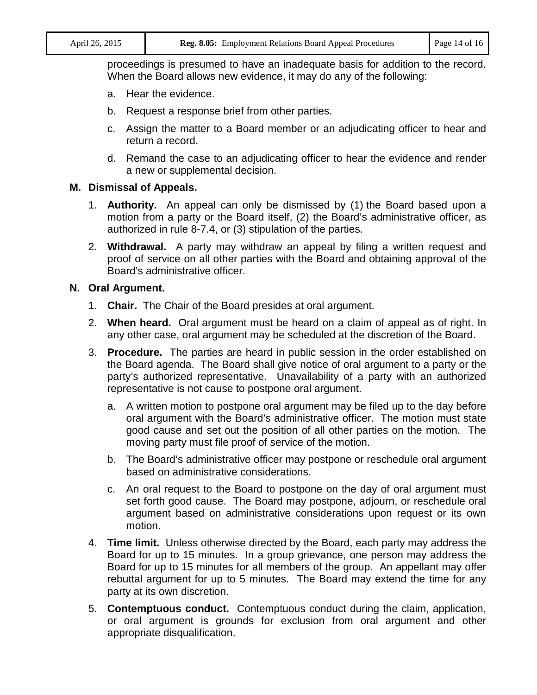proceedings is presumed to have an inadequate basis for addition to the record. When the Board allows new evidence, it may do any of the following:

- a. Hear the evidence.
- b. Request a response brief from other parties.
- c. Assign the matter to a Board member or an adjudicating officer to hear and return a record.
- d. Remand the case to an adjudicating officer to hear the evidence and render a new or supplemental decision.

#### **M. Dismissal of Appeals.**

- 1. **Authority.** An appeal can only be dismissed by (1) the Board based upon a motion from a party or the Board itself, (2) the Board's administrative officer, as authorized in rule 8-7.4, or (3) stipulation of the parties.
- 2. **Withdrawal.** A party may withdraw an appeal by filing a written request and proof of service on all other parties with the Board and obtaining approval of the Board's administrative officer.

#### **N. Oral Argument.**

- 1. **Chair.** The Chair of the Board presides at oral argument.
- 2. **When heard.** Oral argument must be heard on a claim of appeal as of right. In any other case, oral argument may be scheduled at the discretion of the Board.
- 3. **Procedure.** The parties are heard in public session in the order established on the Board agenda. The Board shall give notice of oral argument to a party or the party's authorized representative. Unavailability of a party with an authorized representative is not cause to postpone oral argument.
	- a. A written motion to postpone oral argument may be filed up to the day before oral argument with the Board's administrative officer. The motion must state good cause and set out the position of all other parties on the motion. The moving party must file proof of service of the motion.
	- b. The Board's administrative officer may postpone or reschedule oral argument based on administrative considerations.
	- c. An oral request to the Board to postpone on the day of oral argument must set forth good cause. The Board may postpone, adjourn, or reschedule oral argument based on administrative considerations upon request or its own motion.
- 4. **Time limit.** Unless otherwise directed by the Board, each party may address the Board for up to 15 minutes. In a group grievance, one person may address the Board for up to 15 minutes for all members of the group. An appellant may offer rebuttal argument for up to 5 minutes. The Board may extend the time for any party at its own discretion.
- 5. **Contemptuous conduct.** Contemptuous conduct during the claim, application, or oral argument is grounds for exclusion from oral argument and other appropriate disqualification.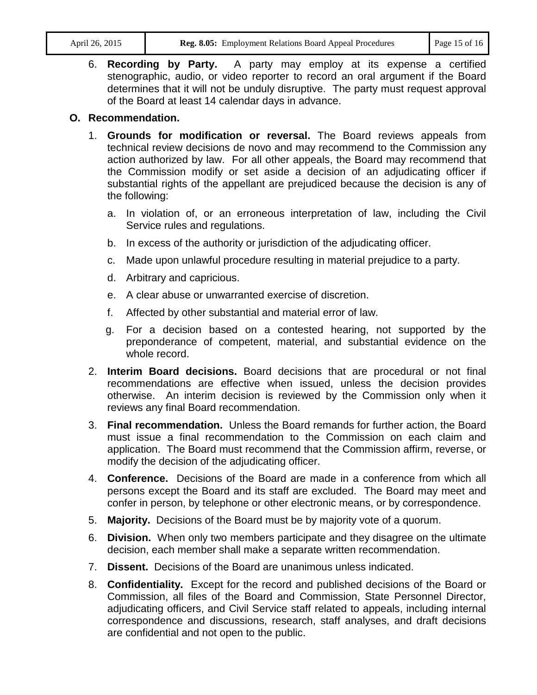6. **Recording by Party.** A party may employ at its expense a certified stenographic, audio, or video reporter to record an oral argument if the Board determines that it will not be unduly disruptive. The party must request approval of the Board at least 14 calendar days in advance.

# **O. Recommendation.**

- 1. **Grounds for modification or reversal.** The Board reviews appeals from technical review decisions de novo and may recommend to the Commission any action authorized by law. For all other appeals, the Board may recommend that the Commission modify or set aside a decision of an adjudicating officer if substantial rights of the appellant are prejudiced because the decision is any of the following:
	- a. In violation of, or an erroneous interpretation of law, including the Civil Service rules and regulations.
	- b. In excess of the authority or jurisdiction of the adjudicating officer.
	- c. Made upon unlawful procedure resulting in material prejudice to a party.
	- d. Arbitrary and capricious.
	- e. A clear abuse or unwarranted exercise of discretion.
	- f. Affected by other substantial and material error of law.
	- g. For a decision based on a contested hearing, not supported by the preponderance of competent, material, and substantial evidence on the whole record.
- 2. **Interim Board decisions.** Board decisions that are procedural or not final recommendations are effective when issued, unless the decision provides otherwise. An interim decision is reviewed by the Commission only when it reviews any final Board recommendation.
- 3. **Final recommendation.** Unless the Board remands for further action, the Board must issue a final recommendation to the Commission on each claim and application. The Board must recommend that the Commission affirm, reverse, or modify the decision of the adjudicating officer.
- 4. **Conference.** Decisions of the Board are made in a conference from which all persons except the Board and its staff are excluded. The Board may meet and confer in person, by telephone or other electronic means, or by correspondence.
- 5. **Majority.** Decisions of the Board must be by majority vote of a quorum.
- 6. **Division.** When only two members participate and they disagree on the ultimate decision, each member shall make a separate written recommendation.
- 7. **Dissent.** Decisions of the Board are unanimous unless indicated.
- 8. **Confidentiality.** Except for the record and published decisions of the Board or Commission, all files of the Board and Commission, State Personnel Director, adjudicating officers, and Civil Service staff related to appeals, including internal correspondence and discussions, research, staff analyses, and draft decisions are confidential and not open to the public.